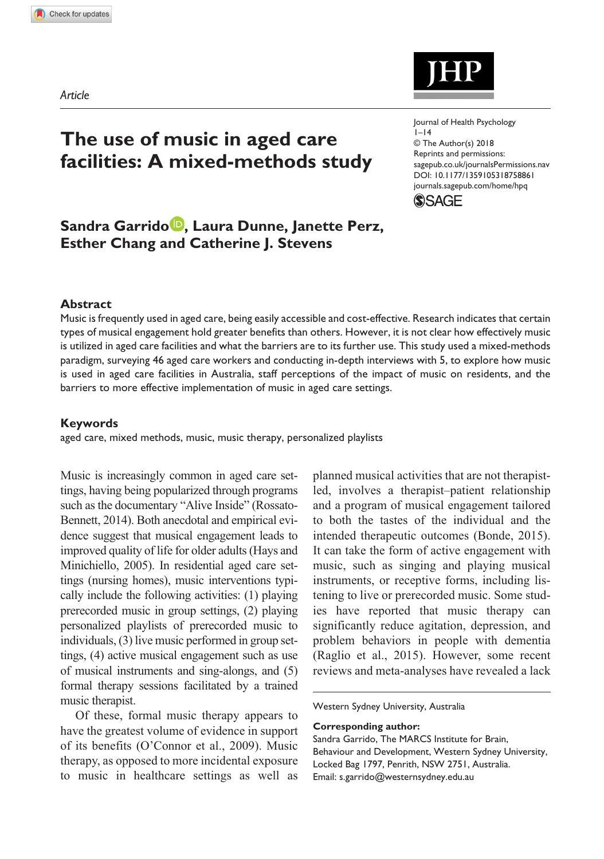*Article*

# **The use of music in aged care facilities: A mixed-methods study**

# **Sandra Garrido , Laura Dunne, Janette Perz, Esther Chang and Catherine J. Stevens**



https://doi.org/10.1177/1359105318758861 DOI: 10.1177/1359105318758861 Journal of Health Psychology  $I-14$ © The Author(s) 2018 Reprints and permissions: [sagepub.co.uk/journalsPermissions.nav](https://uk.sagepub.com/en-gb/journals-permissions) [journals.sagepub.com/home/hpq](https://journals.sagepub.com/home/hpq)



#### **Abstract**

Music is frequently used in aged care, being easily accessible and cost-effective. Research indicates that certain types of musical engagement hold greater benefits than others. However, it is not clear how effectively music is utilized in aged care facilities and what the barriers are to its further use. This study used a mixed-methods paradigm, surveying 46 aged care workers and conducting in-depth interviews with 5, to explore how music is used in aged care facilities in Australia, staff perceptions of the impact of music on residents, and the barriers to more effective implementation of music in aged care settings.

#### **Keywords**

aged care, mixed methods, music, music therapy, personalized playlists

Music is increasingly common in aged care settings, having being popularized through programs such as the documentary "Alive Inside" (Rossato-Bennett, 2014). Both anecdotal and empirical evidence suggest that musical engagement leads to improved quality of life for older adults (Hays and Minichiello, 2005). In residential aged care settings (nursing homes), music interventions typically include the following activities: (1) playing prerecorded music in group settings, (2) playing personalized playlists of prerecorded music to individuals, (3) live music performed in group settings, (4) active musical engagement such as use of musical instruments and sing-alongs, and (5) formal therapy sessions facilitated by a trained music therapist.

Of these, formal music therapy appears to have the greatest volume of evidence in support of its benefits (O'Connor et al., 2009). Music therapy, as opposed to more incidental exposure to music in healthcare settings as well as planned musical activities that are not therapistled, involves a therapist–patient relationship and a program of musical engagement tailored to both the tastes of the individual and the intended therapeutic outcomes (Bonde, 2015). It can take the form of active engagement with music, such as singing and playing musical instruments, or receptive forms, including listening to live or prerecorded music. Some studies have reported that music therapy can significantly reduce agitation, depression, and problem behaviors in people with dementia (Raglio et al., 2015). However, some recent reviews and meta-analyses have revealed a lack

Western Sydney University, Australia

**Corresponding author:**

Sandra Garrido, The MARCS Institute for Brain, Behaviour and Development, Western Sydney University, Locked Bag 1797, Penrith, NSW 2751, Australia. Email: [s.garrido@westernsydney.edu.au](mailto:s.garrido@westernsydney.edu.au)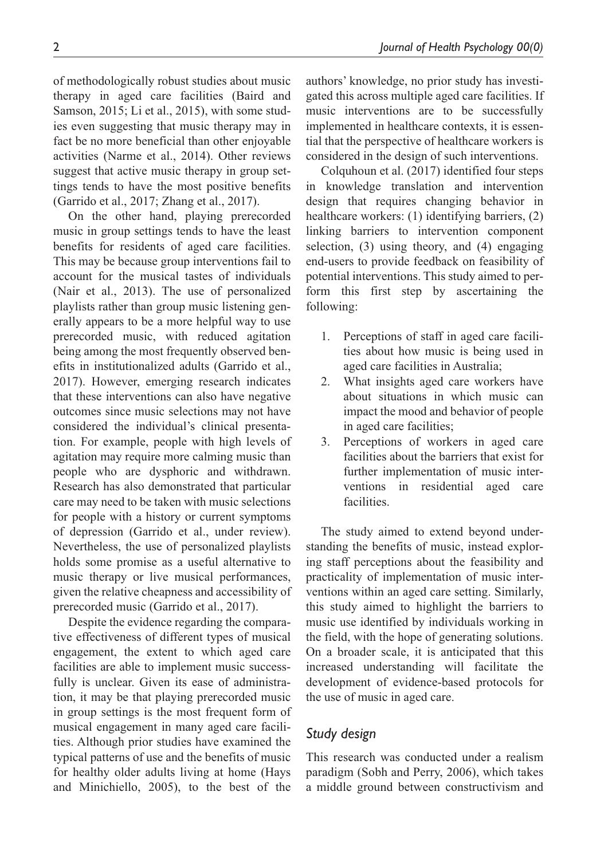of methodologically robust studies about music therapy in aged care facilities (Baird and Samson, 2015; Li et al., 2015), with some studies even suggesting that music therapy may in fact be no more beneficial than other enjoyable activities (Narme et al., 2014). Other reviews suggest that active music therapy in group settings tends to have the most positive benefits (Garrido et al., 2017; Zhang et al., 2017).

On the other hand, playing prerecorded music in group settings tends to have the least benefits for residents of aged care facilities. This may be because group interventions fail to account for the musical tastes of individuals (Nair et al., 2013). The use of personalized playlists rather than group music listening generally appears to be a more helpful way to use prerecorded music, with reduced agitation being among the most frequently observed benefits in institutionalized adults (Garrido et al., 2017). However, emerging research indicates that these interventions can also have negative outcomes since music selections may not have considered the individual's clinical presentation. For example, people with high levels of agitation may require more calming music than people who are dysphoric and withdrawn. Research has also demonstrated that particular care may need to be taken with music selections for people with a history or current symptoms of depression (Garrido et al., under review). Nevertheless, the use of personalized playlists holds some promise as a useful alternative to music therapy or live musical performances, given the relative cheapness and accessibility of prerecorded music (Garrido et al., 2017).

Despite the evidence regarding the comparative effectiveness of different types of musical engagement, the extent to which aged care facilities are able to implement music successfully is unclear. Given its ease of administration, it may be that playing prerecorded music in group settings is the most frequent form of musical engagement in many aged care facilities. Although prior studies have examined the typical patterns of use and the benefits of music for healthy older adults living at home (Hays and Minichiello, 2005), to the best of the

authors' knowledge, no prior study has investigated this across multiple aged care facilities. If music interventions are to be successfully implemented in healthcare contexts, it is essential that the perspective of healthcare workers is considered in the design of such interventions.

Colquhoun et al. (2017) identified four steps in knowledge translation and intervention design that requires changing behavior in healthcare workers: (1) identifying barriers, (2) linking barriers to intervention component selection, (3) using theory, and (4) engaging end-users to provide feedback on feasibility of potential interventions. This study aimed to perform this first step by ascertaining the following:

- 1. Perceptions of staff in aged care facilities about how music is being used in aged care facilities in Australia;
- 2. What insights aged care workers have about situations in which music can impact the mood and behavior of people in aged care facilities;
- 3. Perceptions of workers in aged care facilities about the barriers that exist for further implementation of music interventions in residential aged care facilities.

The study aimed to extend beyond understanding the benefits of music, instead exploring staff perceptions about the feasibility and practicality of implementation of music interventions within an aged care setting. Similarly, this study aimed to highlight the barriers to music use identified by individuals working in the field, with the hope of generating solutions. On a broader scale, it is anticipated that this increased understanding will facilitate the development of evidence-based protocols for the use of music in aged care.

## *Study design*

This research was conducted under a realism paradigm (Sobh and Perry, 2006), which takes a middle ground between constructivism and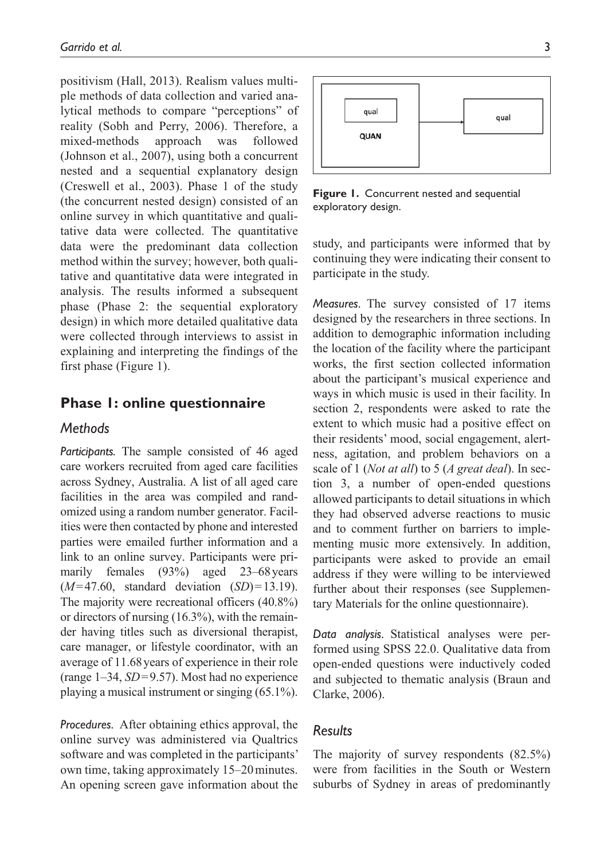positivism (Hall, 2013). Realism values multiple methods of data collection and varied analytical methods to compare "perceptions" of reality (Sobh and Perry, 2006). Therefore, a mixed-methods approach was followed (Johnson et al., 2007), using both a concurrent nested and a sequential explanatory design (Creswell et al., 2003). Phase 1 of the study (the concurrent nested design) consisted of an online survey in which quantitative and qualitative data were collected. The quantitative data were the predominant data collection method within the survey; however, both qualitative and quantitative data were integrated in analysis. The results informed a subsequent phase (Phase 2: the sequential exploratory design) in which more detailed qualitative data were collected through interviews to assist in explaining and interpreting the findings of the first phase (Figure 1).

## **Phase 1: online questionnaire**

## *Methods*

*Participants.* The sample consisted of 46 aged care workers recruited from aged care facilities across Sydney, Australia. A list of all aged care facilities in the area was compiled and randomized using a random number generator. Facilities were then contacted by phone and interested parties were emailed further information and a link to an online survey. Participants were primarily females (93%) aged 23–68years (*M*=47.60, standard deviation (*SD*)=13.19). The majority were recreational officers (40.8%) or directors of nursing (16.3%), with the remainder having titles such as diversional therapist, care manager, or lifestyle coordinator, with an average of 11.68years of experience in their role (range 1–34, *SD*=9.57). Most had no experience playing a musical instrument or singing (65.1%).

*Procedures.* After obtaining ethics approval, the online survey was administered via Qualtrics software and was completed in the participants' own time, taking approximately 15–20minutes. An opening screen gave information about the



**Figure 1.** Concurrent nested and sequential exploratory design.

study, and participants were informed that by continuing they were indicating their consent to participate in the study.

*Measures.* The survey consisted of 17 items designed by the researchers in three sections. In addition to demographic information including the location of the facility where the participant works, the first section collected information about the participant's musical experience and ways in which music is used in their facility. In section 2, respondents were asked to rate the extent to which music had a positive effect on their residents' mood, social engagement, alertness, agitation, and problem behaviors on a scale of 1 (*Not at all*) to 5 (*A great deal*). In section 3, a number of open-ended questions allowed participants to detail situations in which they had observed adverse reactions to music and to comment further on barriers to implementing music more extensively. In addition, participants were asked to provide an email address if they were willing to be interviewed further about their responses (see Supplementary Materials for the online questionnaire).

*Data analysis.* Statistical analyses were performed using SPSS 22.0. Qualitative data from open-ended questions were inductively coded and subjected to thematic analysis (Braun and Clarke, 2006).

#### *Results*

The majority of survey respondents (82.5%) were from facilities in the South or Western suburbs of Sydney in areas of predominantly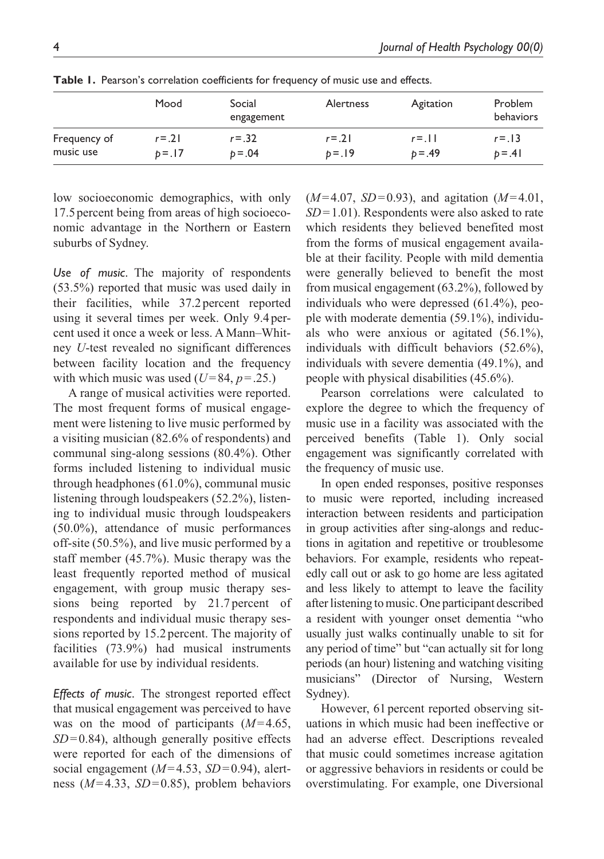|              | Mood      | Social<br>engagement | Alertness | Agitation | Problem<br>behaviors |
|--------------|-----------|----------------------|-----------|-----------|----------------------|
| Frequency of | $r = .21$ | $r = .32$            | $r = .21$ | $r = 11$  | $r = 13$             |
| music use    | $b = 17$  | $b = .04$            | $b = 19$  | $b = .49$ | $p = .41$            |

**Table 1.** Pearson's correlation coefficients for frequency of music use and effects.

low socioeconomic demographics, with only 17.5 percent being from areas of high socioeconomic advantage in the Northern or Eastern suburbs of Sydney.

*Use of music.* The majority of respondents (53.5%) reported that music was used daily in their facilities, while 37.2percent reported using it several times per week. Only 9.4 percent used it once a week or less. A Mann–Whitney *U*-test revealed no significant differences between facility location and the frequency with which music was used  $(U=84, p=.25)$ .

A range of musical activities were reported. The most frequent forms of musical engagement were listening to live music performed by a visiting musician (82.6% of respondents) and communal sing-along sessions (80.4%). Other forms included listening to individual music through headphones (61.0%), communal music listening through loudspeakers (52.2%), listening to individual music through loudspeakers (50.0%), attendance of music performances off-site (50.5%), and live music performed by a staff member (45.7%). Music therapy was the least frequently reported method of musical engagement, with group music therapy sessions being reported by 21.7 percent of respondents and individual music therapy sessions reported by 15.2 percent. The majority of facilities (73.9%) had musical instruments available for use by individual residents.

*Effects of music.* The strongest reported effect that musical engagement was perceived to have was on the mood of participants (*M*=4.65, *SD*=0.84), although generally positive effects were reported for each of the dimensions of social engagement (*M*=4.53, *SD*=0.94), alertness (*M*=4.33, *SD*=0.85), problem behaviors (*M*=4.07, *SD*=0.93), and agitation (*M*=4.01, *SD*=1.01). Respondents were also asked to rate which residents they believed benefited most from the forms of musical engagement available at their facility. People with mild dementia were generally believed to benefit the most from musical engagement (63.2%), followed by individuals who were depressed (61.4%), people with moderate dementia (59.1%), individuals who were anxious or agitated (56.1%), individuals with difficult behaviors (52.6%), individuals with severe dementia (49.1%), and people with physical disabilities (45.6%).

Pearson correlations were calculated to explore the degree to which the frequency of music use in a facility was associated with the perceived benefits (Table 1). Only social engagement was significantly correlated with the frequency of music use.

In open ended responses, positive responses to music were reported, including increased interaction between residents and participation in group activities after sing-alongs and reductions in agitation and repetitive or troublesome behaviors. For example, residents who repeatedly call out or ask to go home are less agitated and less likely to attempt to leave the facility after listening to music. One participant described a resident with younger onset dementia "who usually just walks continually unable to sit for any period of time" but "can actually sit for long periods (an hour) listening and watching visiting musicians" (Director of Nursing, Western Sydney).

However, 61 percent reported observing situations in which music had been ineffective or had an adverse effect. Descriptions revealed that music could sometimes increase agitation or aggressive behaviors in residents or could be overstimulating. For example, one Diversional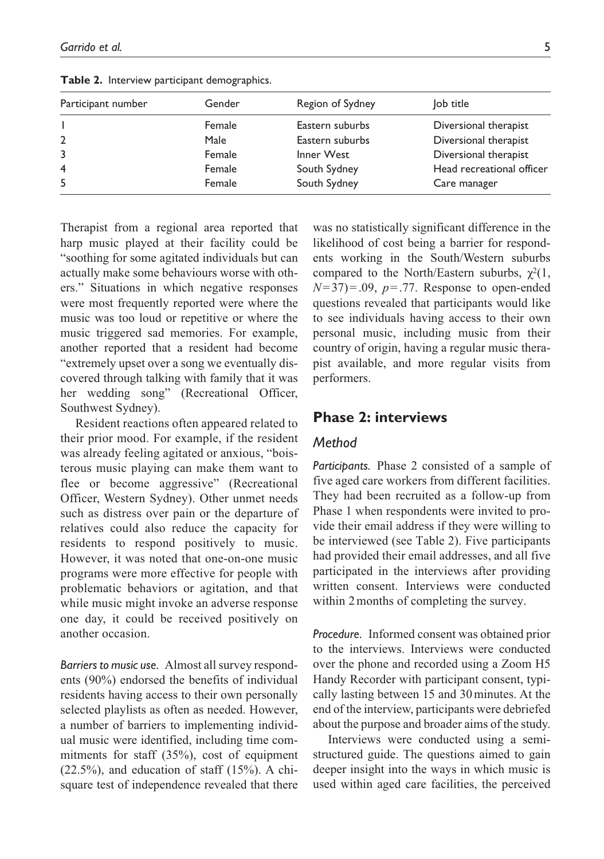| Participant number | Gender | Region of Sydney | lob title                 |
|--------------------|--------|------------------|---------------------------|
|                    | Female | Eastern suburbs  | Diversional therapist     |
| $\overline{2}$     | Male   | Eastern suburbs  | Diversional therapist     |
| 3                  | Female | Inner West       | Diversional therapist     |
| $\overline{4}$     | Female | South Sydney     | Head recreational officer |
| 5                  | Female | South Sydney     | Care manager              |

**Table 2.** Interview participant demographics.

Therapist from a regional area reported that harp music played at their facility could be "soothing for some agitated individuals but can actually make some behaviours worse with others." Situations in which negative responses were most frequently reported were where the music was too loud or repetitive or where the music triggered sad memories. For example, another reported that a resident had become "extremely upset over a song we eventually discovered through talking with family that it was her wedding song" (Recreational Officer, Southwest Sydney).

Resident reactions often appeared related to their prior mood. For example, if the resident was already feeling agitated or anxious, "boisterous music playing can make them want to flee or become aggressive" (Recreational Officer, Western Sydney). Other unmet needs such as distress over pain or the departure of relatives could also reduce the capacity for residents to respond positively to music. However, it was noted that one-on-one music programs were more effective for people with problematic behaviors or agitation, and that while music might invoke an adverse response one day, it could be received positively on another occasion.

*Barriers to music use.* Almost all survey respondents (90%) endorsed the benefits of individual residents having access to their own personally selected playlists as often as needed. However, a number of barriers to implementing individual music were identified, including time commitments for staff (35%), cost of equipment  $(22.5\%)$ , and education of staff  $(15\%)$ . A chisquare test of independence revealed that there

was no statistically significant difference in the likelihood of cost being a barrier for respondents working in the South/Western suburbs compared to the North/Eastern suburbs,  $\chi^2(1, \cdot)$  $N=37$ )=.09,  $p=.77$ . Response to open-ended questions revealed that participants would like to see individuals having access to their own personal music, including music from their country of origin, having a regular music therapist available, and more regular visits from performers.

## **Phase 2: interviews**

## *Method*

*Participants.* Phase 2 consisted of a sample of five aged care workers from different facilities. They had been recruited as a follow-up from Phase 1 when respondents were invited to provide their email address if they were willing to be interviewed (see Table 2). Five participants had provided their email addresses, and all five participated in the interviews after providing written consent. Interviews were conducted within 2 months of completing the survey.

*Procedure.* Informed consent was obtained prior to the interviews. Interviews were conducted over the phone and recorded using a Zoom H5 Handy Recorder with participant consent, typically lasting between 15 and 30minutes. At the end of the interview, participants were debriefed about the purpose and broader aims of the study.

Interviews were conducted using a semistructured guide. The questions aimed to gain deeper insight into the ways in which music is used within aged care facilities, the perceived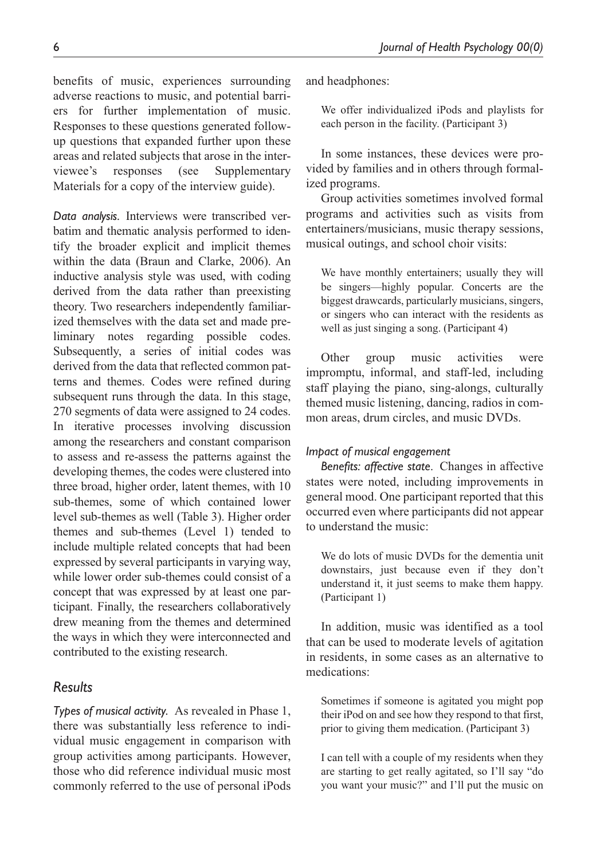benefits of music, experiences surrounding adverse reactions to music, and potential barriers for further implementation of music. Responses to these questions generated followup questions that expanded further upon these areas and related subjects that arose in the interviewee's responses (see Supplementary Materials for a copy of the interview guide).

*Data analysis.* Interviews were transcribed verbatim and thematic analysis performed to identify the broader explicit and implicit themes within the data (Braun and Clarke, 2006). An inductive analysis style was used, with coding derived from the data rather than preexisting theory. Two researchers independently familiarized themselves with the data set and made preliminary notes regarding possible codes. Subsequently, a series of initial codes was derived from the data that reflected common patterns and themes. Codes were refined during subsequent runs through the data. In this stage, 270 segments of data were assigned to 24 codes. In iterative processes involving discussion among the researchers and constant comparison to assess and re-assess the patterns against the developing themes, the codes were clustered into three broad, higher order, latent themes, with 10 sub-themes, some of which contained lower level sub-themes as well (Table 3). Higher order themes and sub-themes (Level 1) tended to include multiple related concepts that had been expressed by several participants in varying way, while lower order sub-themes could consist of a concept that was expressed by at least one participant. Finally, the researchers collaboratively drew meaning from the themes and determined the ways in which they were interconnected and contributed to the existing research.

## *Results*

*Types of musical activity.* As revealed in Phase 1, there was substantially less reference to individual music engagement in comparison with group activities among participants. However, those who did reference individual music most commonly referred to the use of personal iPods and headphones:

We offer individualized iPods and playlists for each person in the facility. (Participant 3)

In some instances, these devices were provided by families and in others through formalized programs.

Group activities sometimes involved formal programs and activities such as visits from entertainers/musicians, music therapy sessions, musical outings, and school choir visits:

We have monthly entertainers; usually they will be singers—highly popular. Concerts are the biggest drawcards, particularly musicians, singers, or singers who can interact with the residents as well as just singing a song. (Participant 4)

Other group music activities were impromptu, informal, and staff-led, including staff playing the piano, sing-alongs, culturally themed music listening, dancing, radios in common areas, drum circles, and music DVDs.

#### *Impact of musical engagement*

*Benefits: affective state*. Changes in affective states were noted, including improvements in general mood. One participant reported that this occurred even where participants did not appear to understand the music:

We do lots of music DVDs for the dementia unit downstairs, just because even if they don't understand it, it just seems to make them happy. (Participant 1)

In addition, music was identified as a tool that can be used to moderate levels of agitation in residents, in some cases as an alternative to medications:

Sometimes if someone is agitated you might pop their iPod on and see how they respond to that first, prior to giving them medication. (Participant 3)

I can tell with a couple of my residents when they are starting to get really agitated, so I'll say "do you want your music?" and I'll put the music on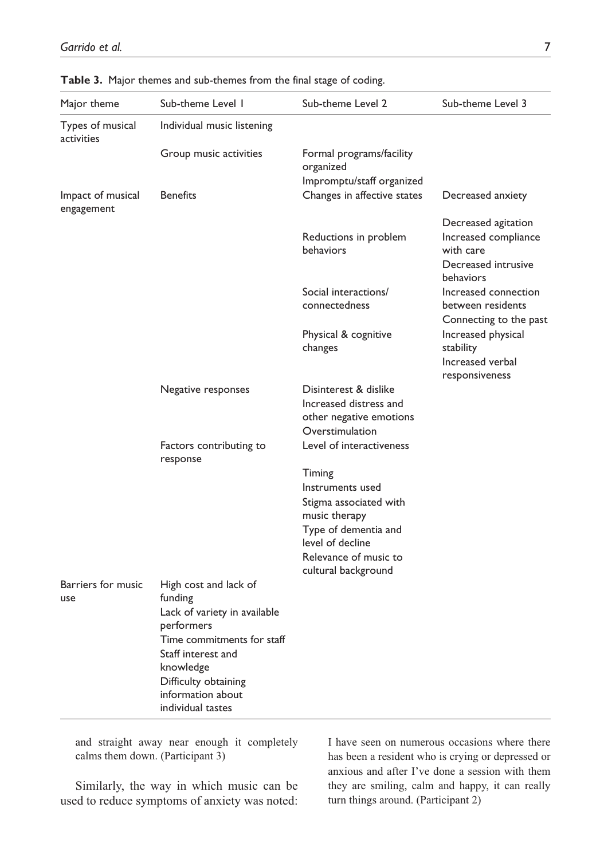| Major theme                     | Sub-theme Level I                                              | Sub-theme Level 2                          | Sub-theme Level 3                                                   |  |  |  |
|---------------------------------|----------------------------------------------------------------|--------------------------------------------|---------------------------------------------------------------------|--|--|--|
| Types of musical<br>activities  | Individual music listening                                     |                                            |                                                                     |  |  |  |
|                                 | Group music activities                                         | Formal programs/facility<br>organized      |                                                                     |  |  |  |
|                                 |                                                                | Impromptu/staff organized                  |                                                                     |  |  |  |
| Impact of musical<br>engagement | <b>Benefits</b>                                                | Changes in affective states                | Decreased anxiety                                                   |  |  |  |
|                                 |                                                                | Reductions in problem<br>behaviors         | Decreased agitation<br>Increased compliance<br>with care            |  |  |  |
|                                 |                                                                |                                            | Decreased intrusive<br>behaviors                                    |  |  |  |
|                                 |                                                                | Social interactions/<br>connectedness      | Increased connection<br>between residents<br>Connecting to the past |  |  |  |
|                                 |                                                                | Physical & cognitive<br>changes            | Increased physical<br>stability<br>Increased verbal                 |  |  |  |
|                                 |                                                                |                                            | responsiveness                                                      |  |  |  |
|                                 | Negative responses                                             | Disinterest & dislike                      |                                                                     |  |  |  |
|                                 |                                                                | Increased distress and                     |                                                                     |  |  |  |
|                                 |                                                                | other negative emotions<br>Overstimulation |                                                                     |  |  |  |
|                                 | Factors contributing to<br>response                            | Level of interactiveness                   |                                                                     |  |  |  |
|                                 |                                                                | Timing                                     |                                                                     |  |  |  |
|                                 |                                                                | Instruments used                           |                                                                     |  |  |  |
|                                 |                                                                | Stigma associated with<br>music therapy    |                                                                     |  |  |  |
|                                 |                                                                | Type of dementia and<br>level of decline   |                                                                     |  |  |  |
|                                 |                                                                | Relevance of music to                      |                                                                     |  |  |  |
|                                 |                                                                | cultural background                        |                                                                     |  |  |  |
| Barriers for music<br>use       | High cost and lack of<br>funding                               |                                            |                                                                     |  |  |  |
|                                 | Lack of variety in available<br>performers                     |                                            |                                                                     |  |  |  |
|                                 | Time commitments for staff<br>Staff interest and<br>knowledge  |                                            |                                                                     |  |  |  |
|                                 | Difficulty obtaining<br>information about<br>individual tastes |                                            |                                                                     |  |  |  |

**Table 3.** Major themes and sub-themes from the final stage of coding.

and straight away near enough it completely calms them down. (Participant 3)

Similarly, the way in which music can be used to reduce symptoms of anxiety was noted: I have seen on numerous occasions where there has been a resident who is crying or depressed or anxious and after I've done a session with them they are smiling, calm and happy, it can really turn things around. (Participant 2)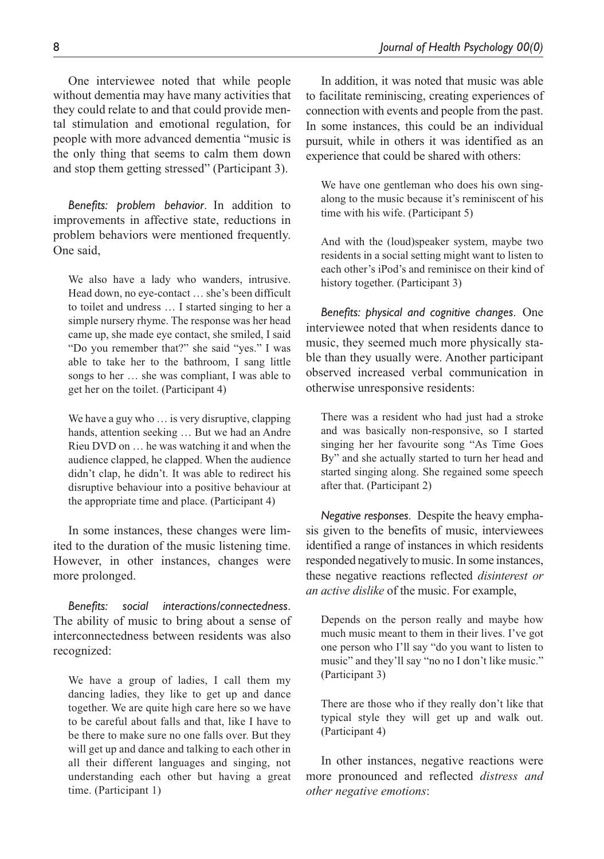One interviewee noted that while people without dementia may have many activities that they could relate to and that could provide mental stimulation and emotional regulation, for people with more advanced dementia "music is the only thing that seems to calm them down and stop them getting stressed" (Participant 3).

*Benefits: problem behavior*. In addition to improvements in affective state, reductions in problem behaviors were mentioned frequently. One said,

We also have a lady who wanders, intrusive. Head down, no eye-contact … she's been difficult to toilet and undress … I started singing to her a simple nursery rhyme. The response was her head came up, she made eye contact, she smiled, I said "Do you remember that?" she said "yes." I was able to take her to the bathroom, I sang little songs to her … she was compliant, I was able to get her on the toilet. (Participant 4)

We have a guy who … is very disruptive, clapping hands, attention seeking … But we had an Andre Rieu DVD on … he was watching it and when the audience clapped, he clapped. When the audience didn't clap, he didn't. It was able to redirect his disruptive behaviour into a positive behaviour at the appropriate time and place. (Participant 4)

In some instances, these changes were limited to the duration of the music listening time. However, in other instances, changes were more prolonged.

*Benefits: social interactions/connectedness*. The ability of music to bring about a sense of interconnectedness between residents was also recognized:

We have a group of ladies, I call them my dancing ladies, they like to get up and dance together. We are quite high care here so we have to be careful about falls and that, like I have to be there to make sure no one falls over. But they will get up and dance and talking to each other in all their different languages and singing, not understanding each other but having a great time. (Participant 1)

In addition, it was noted that music was able to facilitate reminiscing, creating experiences of connection with events and people from the past. In some instances, this could be an individual pursuit, while in others it was identified as an experience that could be shared with others:

We have one gentleman who does his own singalong to the music because it's reminiscent of his time with his wife. (Participant 5)

And with the (loud)speaker system, maybe two residents in a social setting might want to listen to each other's iPod's and reminisce on their kind of history together. (Participant 3)

*Benefits: physical and cognitive changes*. One interviewee noted that when residents dance to music, they seemed much more physically stable than they usually were. Another participant observed increased verbal communication in otherwise unresponsive residents:

There was a resident who had just had a stroke and was basically non-responsive, so I started singing her her favourite song "As Time Goes By" and she actually started to turn her head and started singing along. She regained some speech after that. (Participant 2)

*Negative responses*. Despite the heavy emphasis given to the benefits of music, interviewees identified a range of instances in which residents responded negatively to music. In some instances, these negative reactions reflected *disinterest or an active dislike* of the music. For example,

Depends on the person really and maybe how much music meant to them in their lives. I've got one person who I'll say "do you want to listen to music" and they'll say "no no I don't like music." (Participant 3)

There are those who if they really don't like that typical style they will get up and walk out. (Participant 4)

In other instances, negative reactions were more pronounced and reflected *distress and other negative emotions*: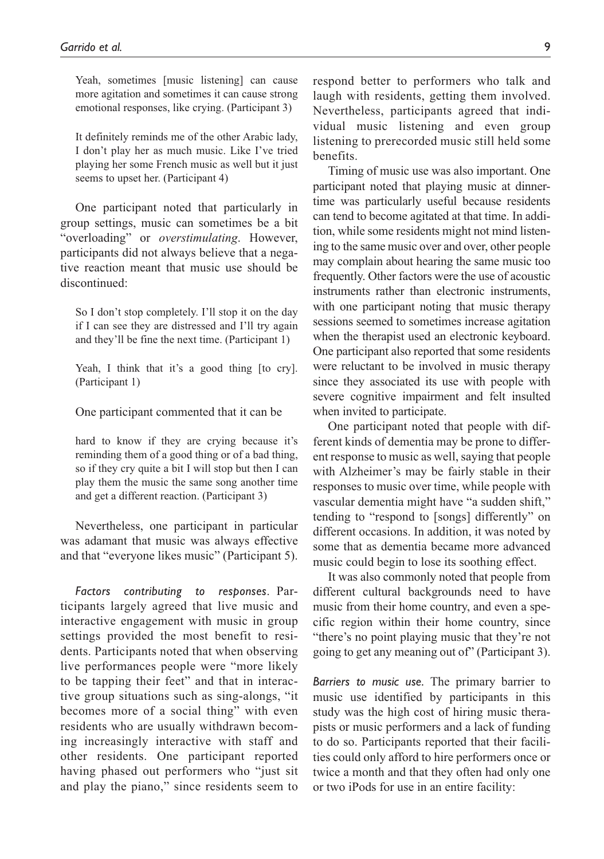Yeah, sometimes [music listening] can cause more agitation and sometimes it can cause strong emotional responses, like crying. (Participant 3)

It definitely reminds me of the other Arabic lady, I don't play her as much music. Like I've tried playing her some French music as well but it just seems to upset her. (Participant 4)

One participant noted that particularly in group settings, music can sometimes be a bit "overloading" or *overstimulating*. However, participants did not always believe that a negative reaction meant that music use should be discontinued:

So I don't stop completely. I'll stop it on the day if I can see they are distressed and I'll try again and they'll be fine the next time. (Participant 1)

Yeah, I think that it's a good thing [to cry]. (Participant 1)

One participant commented that it can be

hard to know if they are crying because it's reminding them of a good thing or of a bad thing, so if they cry quite a bit I will stop but then I can play them the music the same song another time and get a different reaction. (Participant 3)

Nevertheless, one participant in particular was adamant that music was always effective and that "everyone likes music" (Participant 5).

*Factors contributing to responses*. Participants largely agreed that live music and interactive engagement with music in group settings provided the most benefit to residents. Participants noted that when observing live performances people were "more likely to be tapping their feet" and that in interactive group situations such as sing-alongs, "it becomes more of a social thing" with even residents who are usually withdrawn becoming increasingly interactive with staff and other residents. One participant reported having phased out performers who "just sit and play the piano," since residents seem to

respond better to performers who talk and laugh with residents, getting them involved. Nevertheless, participants agreed that individual music listening and even group listening to prerecorded music still held some benefits.

Timing of music use was also important. One participant noted that playing music at dinnertime was particularly useful because residents can tend to become agitated at that time. In addition, while some residents might not mind listening to the same music over and over, other people may complain about hearing the same music too frequently. Other factors were the use of acoustic instruments rather than electronic instruments, with one participant noting that music therapy sessions seemed to sometimes increase agitation when the therapist used an electronic keyboard. One participant also reported that some residents were reluctant to be involved in music therapy since they associated its use with people with severe cognitive impairment and felt insulted when invited to participate.

One participant noted that people with different kinds of dementia may be prone to different response to music as well, saying that people with Alzheimer's may be fairly stable in their responses to music over time, while people with vascular dementia might have "a sudden shift," tending to "respond to [songs] differently" on different occasions. In addition, it was noted by some that as dementia became more advanced music could begin to lose its soothing effect.

It was also commonly noted that people from different cultural backgrounds need to have music from their home country, and even a specific region within their home country, since "there's no point playing music that they're not going to get any meaning out of" (Participant 3).

*Barriers to music use.* The primary barrier to music use identified by participants in this study was the high cost of hiring music therapists or music performers and a lack of funding to do so. Participants reported that their facilities could only afford to hire performers once or twice a month and that they often had only one or two iPods for use in an entire facility: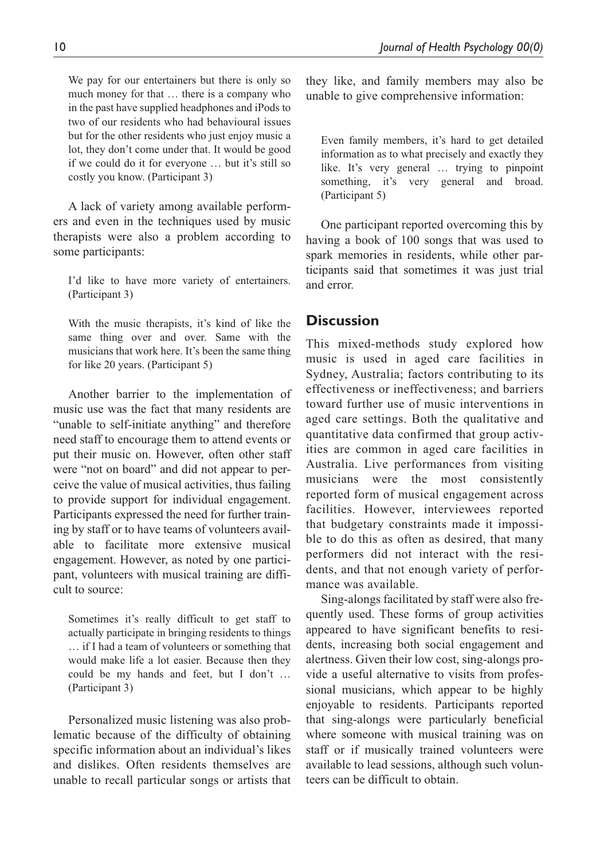We pay for our entertainers but there is only so much money for that … there is a company who in the past have supplied headphones and iPods to two of our residents who had behavioural issues but for the other residents who just enjoy music a lot, they don't come under that. It would be good if we could do it for everyone … but it's still so costly you know. (Participant 3)

A lack of variety among available performers and even in the techniques used by music therapists were also a problem according to some participants:

I'd like to have more variety of entertainers. (Participant 3)

With the music therapists, it's kind of like the same thing over and over. Same with the musicians that work here. It's been the same thing for like 20 years. (Participant 5)

Another barrier to the implementation of music use was the fact that many residents are "unable to self-initiate anything" and therefore need staff to encourage them to attend events or put their music on. However, often other staff were "not on board" and did not appear to perceive the value of musical activities, thus failing to provide support for individual engagement. Participants expressed the need for further training by staff or to have teams of volunteers available to facilitate more extensive musical engagement. However, as noted by one participant, volunteers with musical training are difficult to source:

Sometimes it's really difficult to get staff to actually participate in bringing residents to things … if I had a team of volunteers or something that would make life a lot easier. Because then they could be my hands and feet, but I don't … (Participant 3)

Personalized music listening was also problematic because of the difficulty of obtaining specific information about an individual's likes and dislikes. Often residents themselves are unable to recall particular songs or artists that they like, and family members may also be unable to give comprehensive information:

Even family members, it's hard to get detailed information as to what precisely and exactly they like. It's very general … trying to pinpoint something, it's very general and broad. (Participant 5)

One participant reported overcoming this by having a book of 100 songs that was used to spark memories in residents, while other participants said that sometimes it was just trial and error.

# **Discussion**

This mixed-methods study explored how music is used in aged care facilities in Sydney, Australia; factors contributing to its effectiveness or ineffectiveness; and barriers toward further use of music interventions in aged care settings. Both the qualitative and quantitative data confirmed that group activities are common in aged care facilities in Australia. Live performances from visiting musicians were the most consistently reported form of musical engagement across facilities. However, interviewees reported that budgetary constraints made it impossible to do this as often as desired, that many performers did not interact with the residents, and that not enough variety of performance was available.

Sing-alongs facilitated by staff were also frequently used. These forms of group activities appeared to have significant benefits to residents, increasing both social engagement and alertness. Given their low cost, sing-alongs provide a useful alternative to visits from professional musicians, which appear to be highly enjoyable to residents. Participants reported that sing-alongs were particularly beneficial where someone with musical training was on staff or if musically trained volunteers were available to lead sessions, although such volunteers can be difficult to obtain.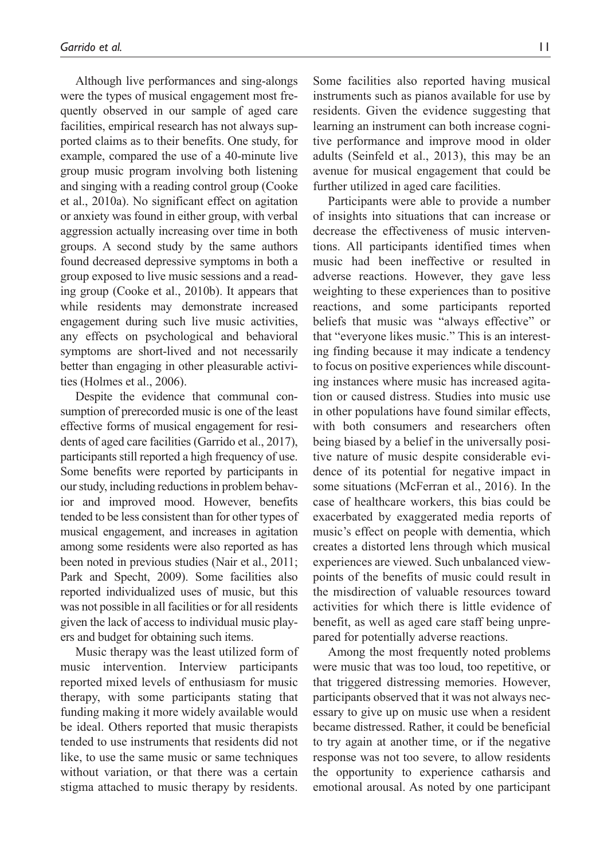Although live performances and sing-alongs were the types of musical engagement most frequently observed in our sample of aged care facilities, empirical research has not always supported claims as to their benefits. One study, for example, compared the use of a 40-minute live group music program involving both listening and singing with a reading control group (Cooke et al., 2010a). No significant effect on agitation or anxiety was found in either group, with verbal aggression actually increasing over time in both groups. A second study by the same authors found decreased depressive symptoms in both a group exposed to live music sessions and a reading group (Cooke et al., 2010b). It appears that while residents may demonstrate increased engagement during such live music activities, any effects on psychological and behavioral symptoms are short-lived and not necessarily better than engaging in other pleasurable activities (Holmes et al., 2006).

Despite the evidence that communal consumption of prerecorded music is one of the least effective forms of musical engagement for residents of aged care facilities (Garrido et al., 2017), participants still reported a high frequency of use. Some benefits were reported by participants in our study, including reductions in problem behavior and improved mood. However, benefits tended to be less consistent than for other types of musical engagement, and increases in agitation among some residents were also reported as has been noted in previous studies (Nair et al., 2011; Park and Specht, 2009). Some facilities also reported individualized uses of music, but this was not possible in all facilities or for all residents given the lack of access to individual music players and budget for obtaining such items.

Music therapy was the least utilized form of music intervention. Interview participants reported mixed levels of enthusiasm for music therapy, with some participants stating that funding making it more widely available would be ideal. Others reported that music therapists tended to use instruments that residents did not like, to use the same music or same techniques without variation, or that there was a certain stigma attached to music therapy by residents.

Some facilities also reported having musical instruments such as pianos available for use by residents. Given the evidence suggesting that learning an instrument can both increase cognitive performance and improve mood in older adults (Seinfeld et al., 2013), this may be an avenue for musical engagement that could be further utilized in aged care facilities.

Participants were able to provide a number of insights into situations that can increase or decrease the effectiveness of music interventions. All participants identified times when music had been ineffective or resulted in adverse reactions. However, they gave less weighting to these experiences than to positive reactions, and some participants reported beliefs that music was "always effective" or that "everyone likes music." This is an interesting finding because it may indicate a tendency to focus on positive experiences while discounting instances where music has increased agitation or caused distress. Studies into music use in other populations have found similar effects, with both consumers and researchers often being biased by a belief in the universally positive nature of music despite considerable evidence of its potential for negative impact in some situations (McFerran et al., 2016). In the case of healthcare workers, this bias could be exacerbated by exaggerated media reports of music's effect on people with dementia, which creates a distorted lens through which musical experiences are viewed. Such unbalanced viewpoints of the benefits of music could result in the misdirection of valuable resources toward activities for which there is little evidence of benefit, as well as aged care staff being unprepared for potentially adverse reactions.

Among the most frequently noted problems were music that was too loud, too repetitive, or that triggered distressing memories. However, participants observed that it was not always necessary to give up on music use when a resident became distressed. Rather, it could be beneficial to try again at another time, or if the negative response was not too severe, to allow residents the opportunity to experience catharsis and emotional arousal. As noted by one participant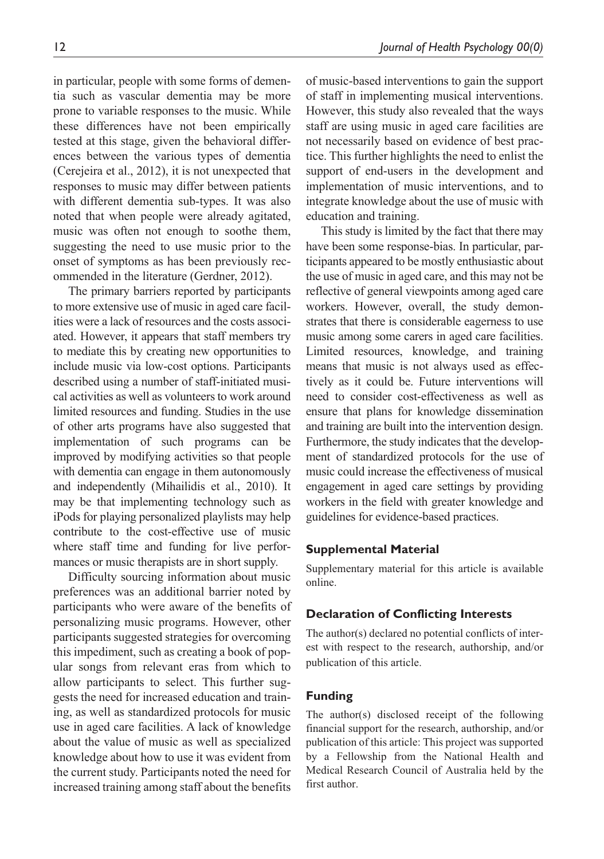in particular, people with some forms of dementia such as vascular dementia may be more prone to variable responses to the music. While these differences have not been empirically tested at this stage, given the behavioral differences between the various types of dementia (Cerejeira et al., 2012), it is not unexpected that responses to music may differ between patients with different dementia sub-types. It was also noted that when people were already agitated, music was often not enough to soothe them, suggesting the need to use music prior to the onset of symptoms as has been previously recommended in the literature (Gerdner, 2012).

The primary barriers reported by participants to more extensive use of music in aged care facilities were a lack of resources and the costs associated. However, it appears that staff members try to mediate this by creating new opportunities to include music via low-cost options. Participants described using a number of staff-initiated musical activities as well as volunteers to work around limited resources and funding. Studies in the use of other arts programs have also suggested that implementation of such programs can be improved by modifying activities so that people with dementia can engage in them autonomously and independently (Mihailidis et al., 2010). It may be that implementing technology such as iPods for playing personalized playlists may help contribute to the cost-effective use of music where staff time and funding for live performances or music therapists are in short supply.

Difficulty sourcing information about music preferences was an additional barrier noted by participants who were aware of the benefits of personalizing music programs. However, other participants suggested strategies for overcoming this impediment, such as creating a book of popular songs from relevant eras from which to allow participants to select. This further suggests the need for increased education and training, as well as standardized protocols for music use in aged care facilities. A lack of knowledge about the value of music as well as specialized knowledge about how to use it was evident from the current study. Participants noted the need for increased training among staff about the benefits

of music-based interventions to gain the support of staff in implementing musical interventions. However, this study also revealed that the ways staff are using music in aged care facilities are not necessarily based on evidence of best practice. This further highlights the need to enlist the support of end-users in the development and implementation of music interventions, and to integrate knowledge about the use of music with education and training.

This study is limited by the fact that there may have been some response-bias. In particular, participants appeared to be mostly enthusiastic about the use of music in aged care, and this may not be reflective of general viewpoints among aged care workers. However, overall, the study demonstrates that there is considerable eagerness to use music among some carers in aged care facilities. Limited resources, knowledge, and training means that music is not always used as effectively as it could be. Future interventions will need to consider cost-effectiveness as well as ensure that plans for knowledge dissemination and training are built into the intervention design. Furthermore, the study indicates that the development of standardized protocols for the use of music could increase the effectiveness of musical engagement in aged care settings by providing workers in the field with greater knowledge and guidelines for evidence-based practices.

#### **Supplemental Material**

Supplementary material for this article is available online.

#### **Declaration of Conflicting Interests**

The author(s) declared no potential conflicts of interest with respect to the research, authorship, and/or publication of this article.

#### **Funding**

The author(s) disclosed receipt of the following financial support for the research, authorship, and/or publication of this article: This project was supported by a Fellowship from the National Health and Medical Research Council of Australia held by the first author.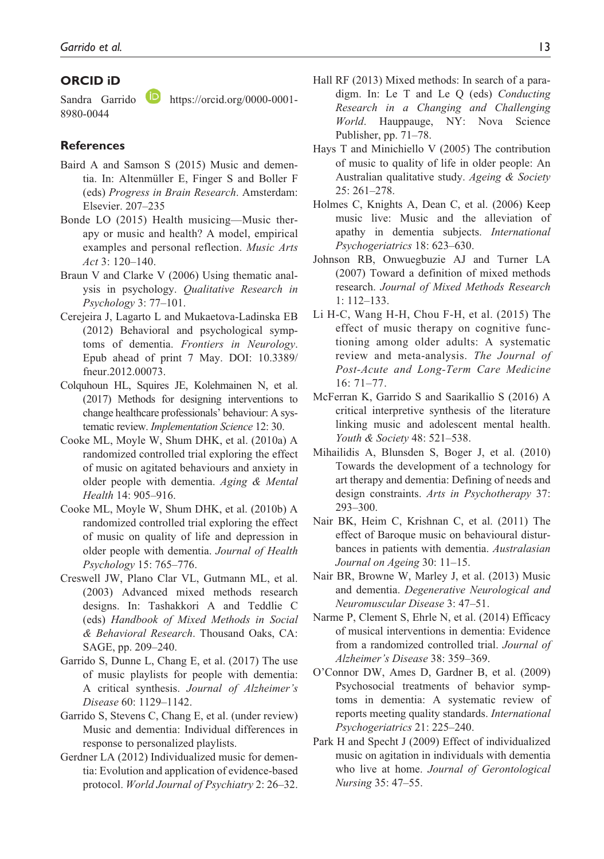#### **ORCID iD**

Sandra Garrido **D** [https://orcid.org/0000-0001-](https://orcid.org/0000-0001-8980-0044) [8980-0044](https://orcid.org/0000-0001-8980-0044)

#### **References**

- Baird A and Samson S (2015) Music and dementia. In: Altenmüller E, Finger S and Boller F (eds) *Progress in Brain Research*. Amsterdam: Elsevier. 207–235
- Bonde LO (2015) Health musicing—Music therapy or music and health? A model, empirical examples and personal reflection. *Music Arts Act* 3: 120–140.
- Braun V and Clarke V (2006) Using thematic analysis in psychology. *Qualitative Research in Psychology* 3: 77–101.
- Cerejeira J, Lagarto L and Mukaetova-Ladinska EB (2012) Behavioral and psychological symptoms of dementia. *Frontiers in Neurology*. Epub ahead of print 7 May. DOI: 10.3389/ fneur.2012.00073.
- Colquhoun HL, Squires JE, Kolehmainen N, et al. (2017) Methods for designing interventions to change healthcare professionals' behaviour: A systematic review. *Implementation Science* 12: 30.
- Cooke ML, Moyle W, Shum DHK, et al. (2010a) A randomized controlled trial exploring the effect of music on agitated behaviours and anxiety in older people with dementia. *Aging & Mental Health* 14: 905–916.
- Cooke ML, Moyle W, Shum DHK, et al. (2010b) A randomized controlled trial exploring the effect of music on quality of life and depression in older people with dementia. *Journal of Health Psychology* 15: 765–776.
- Creswell JW, Plano Clar VL, Gutmann ML, et al. (2003) Advanced mixed methods research designs. In: Tashakkori A and Teddlie C (eds) *Handbook of Mixed Methods in Social & Behavioral Research*. Thousand Oaks, CA: SAGE, pp. 209–240.
- Garrido S, Dunne L, Chang E, et al. (2017) The use of music playlists for people with dementia: A critical synthesis. *Journal of Alzheimer's Disease* 60: 1129–1142.
- Garrido S, Stevens C, Chang E, et al. (under review) Music and dementia: Individual differences in response to personalized playlists.
- Gerdner LA (2012) Individualized music for dementia: Evolution and application of evidence-based protocol. *World Journal of Psychiatry* 2: 26–32.
- Hall RF (2013) Mixed methods: In search of a paradigm. In: Le T and Le Q (eds) *Conducting Research in a Changing and Challenging World*. Hauppauge, NY: Nova Science Publisher, pp. 71–78.
- Hays T and Minichiello V (2005) The contribution of music to quality of life in older people: An Australian qualitative study. *Ageing & Society* 25: 261–278.
- Holmes C, Knights A, Dean C, et al. (2006) Keep music live: Music and the alleviation of apathy in dementia subjects. *International Psychogeriatrics* 18: 623–630.
- Johnson RB, Onwuegbuzie AJ and Turner LA (2007) Toward a definition of mixed methods research. *Journal of Mixed Methods Research* 1: 112–133.
- Li H-C, Wang H-H, Chou F-H, et al. (2015) The effect of music therapy on cognitive functioning among older adults: A systematic review and meta-analysis. *The Journal of Post-Acute and Long-Term Care Medicine* 16: 71–77.
- McFerran K, Garrido S and Saarikallio S (2016) A critical interpretive synthesis of the literature linking music and adolescent mental health. *Youth & Society* 48: 521–538.
- Mihailidis A, Blunsden S, Boger J, et al. (2010) Towards the development of a technology for art therapy and dementia: Defining of needs and design constraints. *Arts in Psychotherapy* 37: 293–300.
- Nair BK, Heim C, Krishnan C, et al. (2011) The effect of Baroque music on behavioural disturbances in patients with dementia. *Australasian Journal on Ageing* 30: 11–15.
- Nair BR, Browne W, Marley J, et al. (2013) Music and dementia. *Degenerative Neurological and Neuromuscular Disease* 3: 47–51.
- Narme P, Clement S, Ehrle N, et al. (2014) Efficacy of musical interventions in dementia: Evidence from a randomized controlled trial. *Journal of Alzheimer's Disease* 38: 359–369.
- O'Connor DW, Ames D, Gardner B, et al. (2009) Psychosocial treatments of behavior symptoms in dementia: A systematic review of reports meeting quality standards. *International Psychogeriatrics* 21: 225–240.
- Park H and Specht J (2009) Effect of individualized music on agitation in individuals with dementia who live at home. *Journal of Gerontological Nursing* 35: 47–55.